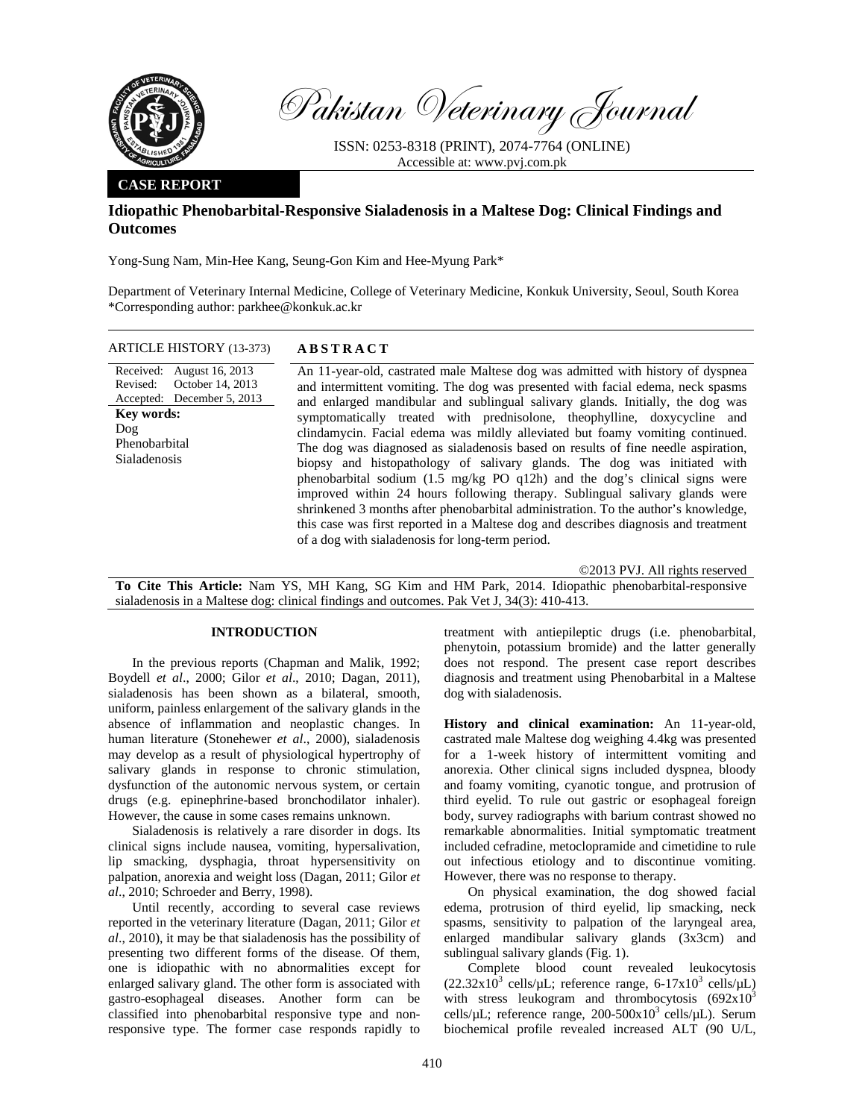

Pakistan Veterinary Journal

ISSN: 0253-8318 (PRINT), 2074-7764 (ONLINE) Accessible at: www.pvj.com.pk

# **CASE REPORT**

# **Idiopathic Phenobarbital-Responsive Sialadenosis in a Maltese Dog: Clinical Findings and Outcomes**

Yong-Sung Nam, Min-Hee Kang, Seung-Gon Kim and Hee-Myung Park\*

Department of Veterinary Internal Medicine, College of Veterinary Medicine, Konkuk University, Seoul, South Korea \*Corresponding author: parkhee@konkuk.ac.kr

ARTICLE HISTORY (13-373) **ABSTRACT** 

Received: August 16, 2013 Revised: Accepted: December 5, 2013 October 14, 2013 **Key words:**  Dog Phenobarbital Sialadenosis

 An 11-year-old, castrated male Maltese dog was admitted with history of dyspnea and intermittent vomiting. The dog was presented with facial edema, neck spasms and enlarged mandibular and sublingual salivary glands. Initially, the dog was symptomatically treated with prednisolone, theophylline, doxycycline and clindamycin. Facial edema was mildly alleviated but foamy vomiting continued. The dog was diagnosed as sialadenosis based on results of fine needle aspiration, biopsy and histopathology of salivary glands. The dog was initiated with phenobarbital sodium (1.5 mg/kg PO q12h) and the dog's clinical signs were improved within 24 hours following therapy. Sublingual salivary glands were shrinkened 3 months after phenobarbital administration. To the author's knowledge, this case was first reported in a Maltese dog and describes diagnosis and treatment of a dog with sialadenosis for long-term period.

©2013 PVJ. All rights reserved

**To Cite This Article:** Nam YS, MH Kang, SG Kim and HM Park, 2014. Idiopathic phenobarbital-responsive sialadenosis in a Maltese dog: clinical findings and outcomes. Pak Vet J, 34(3): 410-413.

## **INTRODUCTION**

In the previous reports (Chapman and Malik, 1992; Boydell *et al*., 2000; Gilor *et al*., 2010; Dagan, 2011), sialadenosis has been shown as a bilateral, smooth, uniform, painless enlargement of the salivary glands in the absence of inflammation and neoplastic changes. In human literature (Stonehewer *et al*., 2000), sialadenosis may develop as a result of physiological hypertrophy of salivary glands in response to chronic stimulation, dysfunction of the autonomic nervous system, or certain drugs (e.g. epinephrine-based bronchodilator inhaler). However, the cause in some cases remains unknown.

Sialadenosis is relatively a rare disorder in dogs. Its clinical signs include nausea, vomiting, hypersalivation, lip smacking, dysphagia, throat hypersensitivity on palpation, anorexia and weight loss (Dagan, 2011; Gilor *et al*., 2010; Schroeder and Berry, 1998).

Until recently, according to several case reviews reported in the veterinary literature (Dagan, 2011; Gilor *et al*., 2010), it may be that sialadenosis has the possibility of presenting two different forms of the disease. Of them, one is idiopathic with no abnormalities except for enlarged salivary gland. The other form is associated with gastro-esophageal diseases. Another form can be classified into phenobarbital responsive type and nonresponsive type. The former case responds rapidly to

treatment with antiepileptic drugs (i.e. phenobarbital, phenytoin, potassium bromide) and the latter generally does not respond. The present case report describes diagnosis and treatment using Phenobarbital in a Maltese dog with sialadenosis.

**History and clinical examination:** An 11-year-old, castrated male Maltese dog weighing 4.4kg was presented for a 1-week history of intermittent vomiting and anorexia. Other clinical signs included dyspnea, bloody and foamy vomiting, cyanotic tongue, and protrusion of third eyelid. To rule out gastric or esophageal foreign body, survey radiographs with barium contrast showed no remarkable abnormalities. Initial symptomatic treatment included cefradine, metoclopramide and cimetidine to rule out infectious etiology and to discontinue vomiting. However, there was no response to therapy.

On physical examination, the dog showed facial edema, protrusion of third eyelid, lip smacking, neck spasms, sensitivity to palpation of the laryngeal area, enlarged mandibular salivary glands (3x3cm) and sublingual salivary glands (Fig. 1).

Complete blood count revealed leukocytosis  $(22.32 \times 10^3 \text{ cells/µL}; \text{ reference range}, 6-17 \times 10^3 \text{ cells/µL})$ with stress leukogram and thrombocytosis  $(692x10<sup>3</sup>)$ cells/ $\mu$ L; reference range, 200-500x10<sup>3</sup> cells/ $\mu$ L). Serum biochemical profile revealed increased ALT (90 U/L,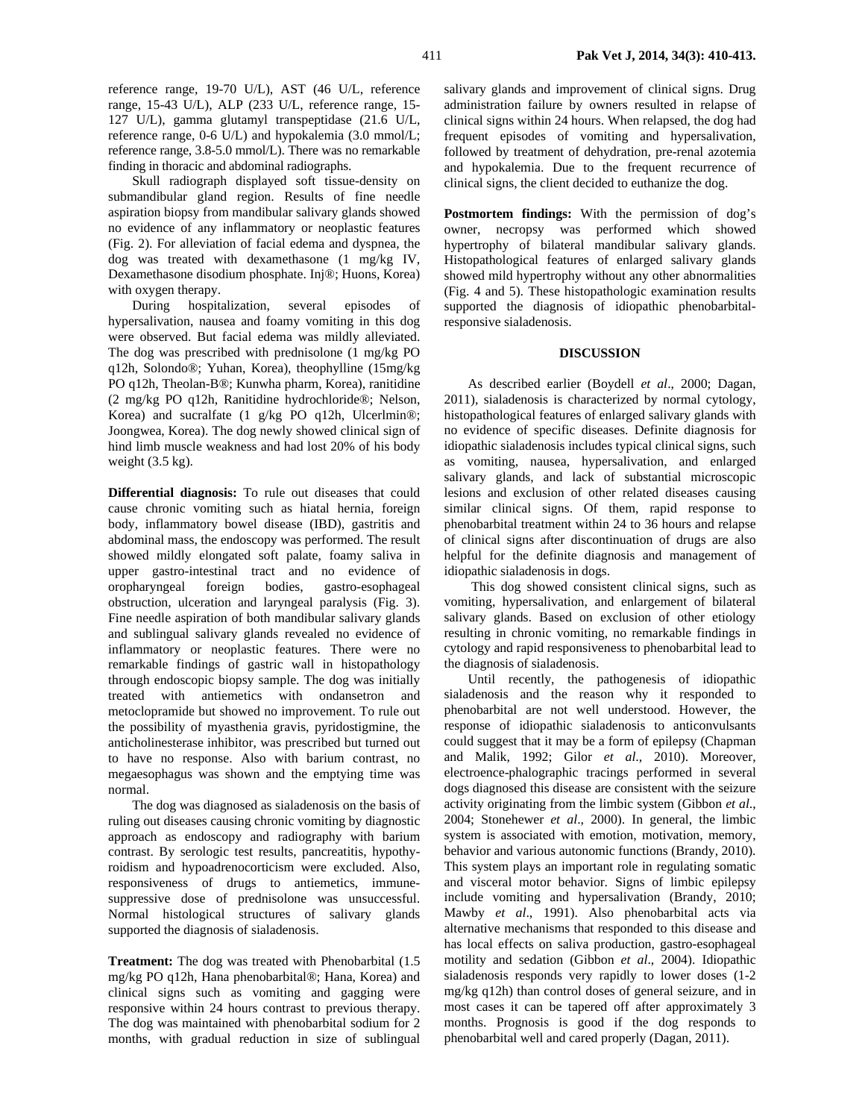Skull radiograph displayed soft tissue-density on submandibular gland region. Results of fine needle aspiration biopsy from mandibular salivary glands showed no evidence of any inflammatory or neoplastic features (Fig. 2). For alleviation of facial edema and dyspnea, the dog was treated with dexamethasone (1 mg/kg IV, Dexamethasone disodium phosphate. Inj®; Huons, Korea) with oxygen therapy.

During hospitalization, several episodes of hypersalivation, nausea and foamy vomiting in this dog were observed. But facial edema was mildly alleviated. The dog was prescribed with prednisolone (1 mg/kg PO q12h, Solondo®; Yuhan, Korea), theophylline (15mg/kg PO q12h, Theolan-B®; Kunwha pharm, Korea), ranitidine (2 mg/kg PO q12h, Ranitidine hydrochloride®; Nelson, Korea) and sucralfate (1 g/kg PO q12h, Ulcerlmin®; Joongwea, Korea). The dog newly showed clinical sign of hind limb muscle weakness and had lost 20% of his body weight  $(3.5 \text{ kg})$ .

**Differential diagnosis:** To rule out diseases that could cause chronic vomiting such as hiatal hernia, foreign body, inflammatory bowel disease (IBD), gastritis and abdominal mass, the endoscopy was performed. The result showed mildly elongated soft palate, foamy saliva in upper gastro-intestinal tract and no evidence of oropharyngeal foreign bodies, gastro-esophageal obstruction, ulceration and laryngeal paralysis (Fig. 3). Fine needle aspiration of both mandibular salivary glands and sublingual salivary glands revealed no evidence of inflammatory or neoplastic features. There were no remarkable findings of gastric wall in histopathology through endoscopic biopsy sample. The dog was initially treated with antiemetics with ondansetron and metoclopramide but showed no improvement. To rule out the possibility of myasthenia gravis, pyridostigmine, the anticholinesterase inhibitor, was prescribed but turned out to have no response. Also with barium contrast, no megaesophagus was shown and the emptying time was normal.

The dog was diagnosed as sialadenosis on the basis of ruling out diseases causing chronic vomiting by diagnostic approach as endoscopy and radiography with barium contrast. By serologic test results, pancreatitis, hypothyroidism and hypoadrenocorticism were excluded. Also, responsiveness of drugs to antiemetics, immunesuppressive dose of prednisolone was unsuccessful. Normal histological structures of salivary glands supported the diagnosis of sialadenosis.

**Treatment:** The dog was treated with Phenobarbital (1.5 mg/kg PO q12h, Hana phenobarbital®; Hana, Korea) and clinical signs such as vomiting and gagging were responsive within 24 hours contrast to previous therapy. The dog was maintained with phenobarbital sodium for 2 months, with gradual reduction in size of sublingual salivary glands and improvement of clinical signs. Drug administration failure by owners resulted in relapse of clinical signs within 24 hours. When relapsed, the dog had frequent episodes of vomiting and hypersalivation, followed by treatment of dehydration, pre-renal azotemia and hypokalemia. Due to the frequent recurrence of clinical signs, the client decided to euthanize the dog.

**Postmortem findings:** With the permission of dog's owner, necropsy was performed which showed hypertrophy of bilateral mandibular salivary glands. Histopathological features of enlarged salivary glands showed mild hypertrophy without any other abnormalities (Fig. 4 and 5). These histopathologic examination results supported the diagnosis of idiopathic phenobarbitalresponsive sialadenosis.

### **DISCUSSION**

As described earlier (Boydell *et al*., 2000; Dagan, 2011), sialadenosis is characterized by normal cytology, histopathological features of enlarged salivary glands with no evidence of specific diseases. Definite diagnosis for idiopathic sialadenosis includes typical clinical signs, such as vomiting, nausea, hypersalivation, and enlarged salivary glands, and lack of substantial microscopic lesions and exclusion of other related diseases causing similar clinical signs. Of them, rapid response to phenobarbital treatment within 24 to 36 hours and relapse of clinical signs after discontinuation of drugs are also helpful for the definite diagnosis and management of idiopathic sialadenosis in dogs.

 This dog showed consistent clinical signs, such as vomiting, hypersalivation, and enlargement of bilateral salivary glands. Based on exclusion of other etiology resulting in chronic vomiting, no remarkable findings in cytology and rapid responsiveness to phenobarbital lead to the diagnosis of sialadenosis.

Until recently, the pathogenesis of idiopathic sialadenosis and the reason why it responded to phenobarbital are not well understood. However, the response of idiopathic sialadenosis to anticonvulsants could suggest that it may be a form of epilepsy (Chapman and Malik, 1992; Gilor *et al*., 2010). Moreover, electroence-phalographic tracings performed in several dogs diagnosed this disease are consistent with the seizure activity originating from the limbic system (Gibbon *et al*., 2004; Stonehewer *et al*., 2000). In general, the limbic system is associated with emotion, motivation, memory, behavior and various autonomic functions (Brandy, 2010). This system plays an important role in regulating somatic and visceral motor behavior. Signs of limbic epilepsy include vomiting and hypersalivation (Brandy, 2010; Mawby *et al*., 1991). Also phenobarbital acts via alternative mechanisms that responded to this disease and has local effects on saliva production, gastro-esophageal motility and sedation (Gibbon *et al*., 2004). Idiopathic sialadenosis responds very rapidly to lower doses (1-2 mg/kg q12h) than control doses of general seizure, and in most cases it can be tapered off after approximately 3 months. Prognosis is good if the dog responds to phenobarbital well and cared properly (Dagan, 2011).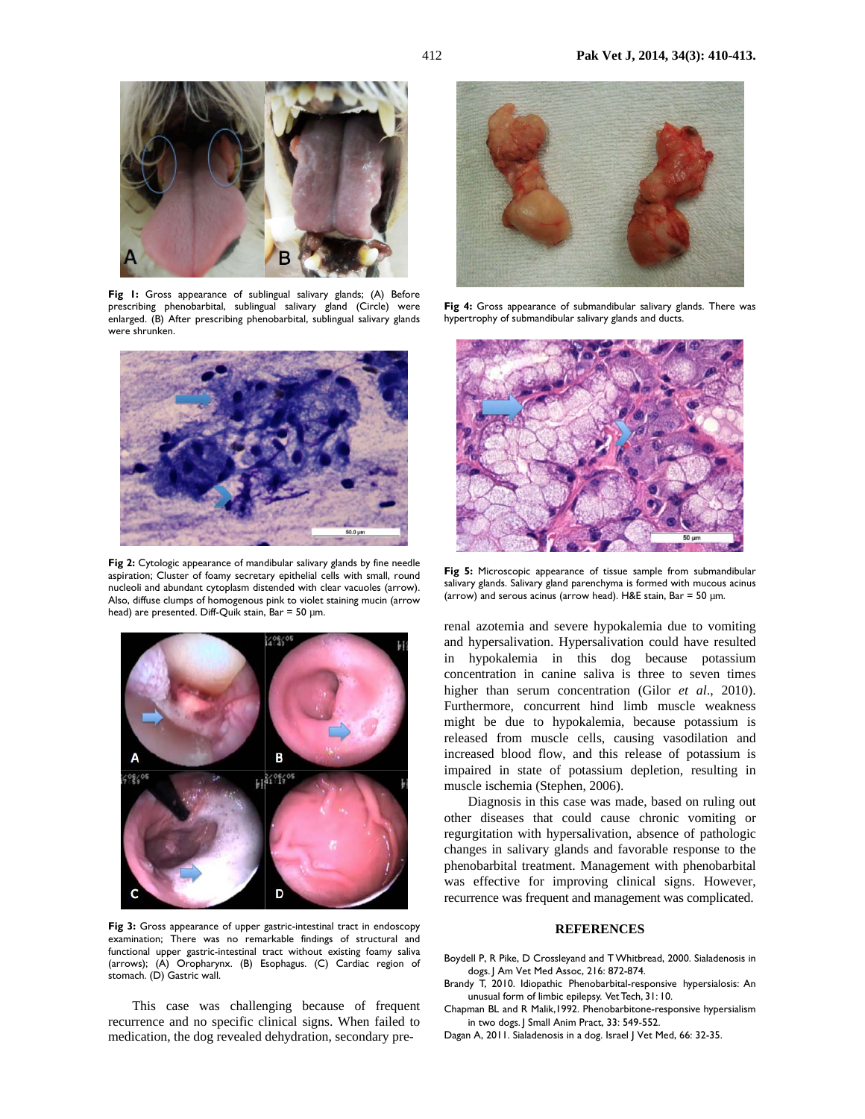

**Fig 1:** Gross appearance of sublingual salivary glands; (A) Before prescribing phenobarbital, sublingual salivary gland (Circle) were enlarged. (B) After prescribing phenobarbital, sublingual salivary glands were shrunken.



Fig 2: Cytologic appearance of mandibular salivary glands by fine needle aspiration; Cluster of foamy secretary epithelial cells with small, round nucleoli and abundant cytoplasm distended with clear vacuoles (arrow). Also, diffuse clumps of homogenous pink to violet staining mucin (arrow head) are presented. Diff-Quik stain, Bar = 50 um.



**Fig 3:** Gross appearance of upper gastric-intestinal tract in endoscopy examination; There was no remarkable findings of structural and functional upper gastric-intestinal tract without existing foamy saliva (arrows); (A) Oropharynx. (B) Esophagus. (C) Cardiac region of stomach. (D) Gastric wall.

This case was challenging because of frequent recurrence and no specific clinical signs. When failed to medication, the dog revealed dehydration, secondary pre-



Fig 4: Gross appearance of submandibular salivary glands. There was hypertrophy of submandibular salivary glands and ducts.



**Fig 5:** Microscopic appearance of tissue sample from submandibular salivary glands. Salivary gland parenchyma is formed with mucous acinus (arrow) and serous acinus (arrow head). H&E stain, Bar = 50 µm.

renal azotemia and severe hypokalemia due to vomiting and hypersalivation. Hypersalivation could have resulted in hypokalemia in this dog because potassium concentration in canine saliva is three to seven times higher than serum concentration (Gilor *et al*., 2010). Furthermore, concurrent hind limb muscle weakness might be due to hypokalemia, because potassium is released from muscle cells, causing vasodilation and increased blood flow, and this release of potassium is impaired in state of potassium depletion, resulting in muscle ischemia (Stephen, 2006).

Diagnosis in this case was made, based on ruling out other diseases that could cause chronic vomiting or regurgitation with hypersalivation, absence of pathologic changes in salivary glands and favorable response to the phenobarbital treatment. Management with phenobarbital was effective for improving clinical signs. However, recurrence was frequent and management was complicated.

### **REFERENCES**

- Boydell P, R Pike, D Crossleyand and T Whitbread, 2000. Sialadenosis in dogs. J Am Vet Med Assoc, 216: 872-874.
- Brandy T, 2010. Idiopathic Phenobarbital-responsive hypersialosis: An unusual form of limbic epilepsy. Vet Tech, 31: 10.
- Chapman BL and R Malik,1992. Phenobarbitone-responsive hypersialism in two dogs. J Small Anim Pract, 33: 549-552.
- Dagan A, 2011. Sialadenosis in a dog. Israel J Vet Med, 66: 32-35.